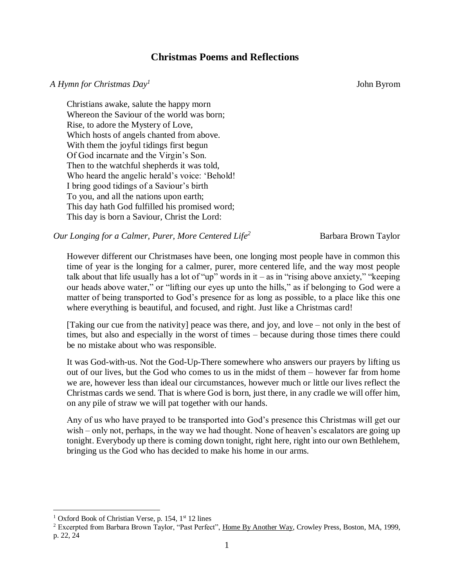## **Christmas Poems and Reflections**

## *A Hymn for Christmas Day<sup>1</sup>*

John Byrom

Christians awake, salute the happy morn Whereon the Saviour of the world was born; Rise, to adore the Mystery of Love, Which hosts of angels chanted from above. With them the joyful tidings first begun Of God incarnate and the Virgin's Son. Then to the watchful shepherds it was told, Who heard the angelic herald's voice: 'Behold! I bring good tidings of a Saviour's birth To you, and all the nations upon earth; This day hath God fulfilled his promised word; This day is born a Saviour, Christ the Lord:

*Our Longing for a Calmer, Purer, More Centered Life<sup>2</sup>* Barbara Brown Taylor

However different our Christmases have been, one longing most people have in common this time of year is the longing for a calmer, purer, more centered life, and the way most people talk about that life usually has a lot of "up" words in it – as in "rising above anxiety," "keeping our heads above water," or "lifting our eyes up unto the hills," as if belonging to God were a matter of being transported to God's presence for as long as possible, to a place like this one where everything is beautiful, and focused, and right. Just like a Christmas card!

[Taking our cue from the nativity] peace was there, and joy, and love – not only in the best of times, but also and especially in the worst of times – because during those times there could be no mistake about who was responsible.

It was God-with-us. Not the God-Up-There somewhere who answers our prayers by lifting us out of our lives, but the God who comes to us in the midst of them – however far from home we are, however less than ideal our circumstances, however much or little our lives reflect the Christmas cards we send. That is where God is born, just there, in any cradle we will offer him, on any pile of straw we will pat together with our hands.

Any of us who have prayed to be transported into God's presence this Christmas will get our wish – only not, perhaps, in the way we had thought. None of heaven's escalators are going up tonight. Everybody up there is coming down tonight, right here, right into our own Bethlehem, bringing us the God who has decided to make his home in our arms.

 $\overline{a}$ <sup>1</sup> Oxford Book of Christian Verse, p. 154,  $1<sup>st</sup> 12$  lines

<sup>&</sup>lt;sup>2</sup> Excerpted from Barbara Brown Taylor, "Past Perfect", Home By Another Way, Crowley Press, Boston, MA, 1999, p. 22, 24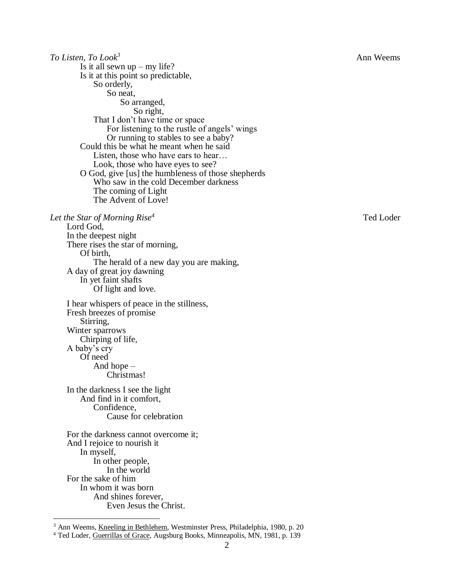*To Listen, To Look<sup>3</sup>* Ann Weems Is it all sewn  $up - my$  life? Is it at this point so predictable, So orderly, So neat, So arranged, So right, That I don't have time or space For listening to the rustle of angels' wings Or running to stables to see a baby? Could this be what he meant when he said Listen, those who have ears to hear… Look, those who have eyes to see? O God, give [us] the humbleness of those shepherds Who saw in the cold December darkness The coming of Light The Advent of Love! *Let the Star of Morning Rise<sup>4</sup>* Ted Loder Lord God, In the deepest night There rises the star of morning, Of birth, The herald of a new day you are making, A day of great joy dawning In yet faint shafts Of light and love. I hear whispers of peace in the stillness, Fresh breezes of promise Stirring, Winter sparrows Chirping of life, A baby's cry Of need And hope – Christmas! In the darkness I see the light And find in it comfort, Confidence, Cause for celebration For the darkness cannot overcome it; And I rejoice to nourish it In myself, In other people, In the world For the sake of him In whom it was born And shines forever, Even Jesus the Christ.  $\overline{a}$ 

<sup>3</sup> Ann Weems, Kneeling in Bethlehem, Westminster Press, Philadelphia, 1980, p. 20

<sup>4</sup> Ted Loder, Guerrillas of Grace, Augsburg Books, Minneapolis, MN, 1981, p. 139